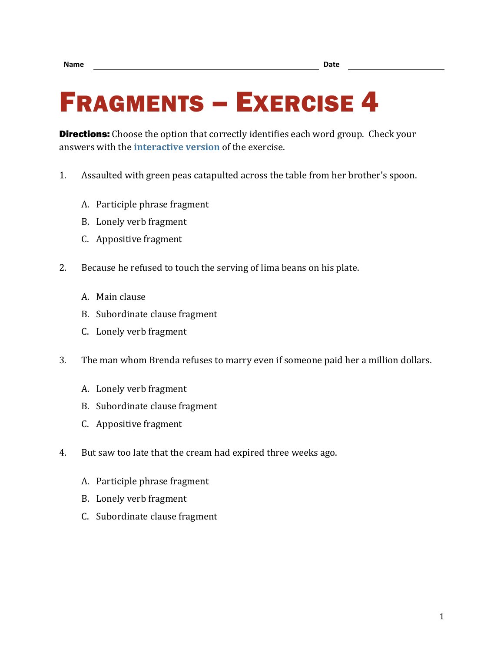## FRAGMENTS – EXERCISE 4

**Directions:** Choose the option that correctly identifies each word group. Check your answers with the **[interactive version](https://chompchomp.com/frag04/)** of the exercise.

- 1. Assaulted with green peas catapulted across the table from her brother's spoon.
	- A. Participle phrase fragment
	- B. Lonely verb fragment
	- C. Appositive fragment
- 2. Because he refused to touch the serving of lima beans on his plate.
	- A. Main clause
	- B. Subordinate clause fragment
	- C. Lonely verb fragment
- 3. The man whom Brenda refuses to marry even if someone paid her a million dollars.
	- A. Lonely verb fragment
	- B. Subordinate clause fragment
	- C. Appositive fragment
- 4. But saw too late that the cream had expired three weeks ago.
	- A. Participle phrase fragment
	- B. Lonely verb fragment
	- C. Subordinate clause fragment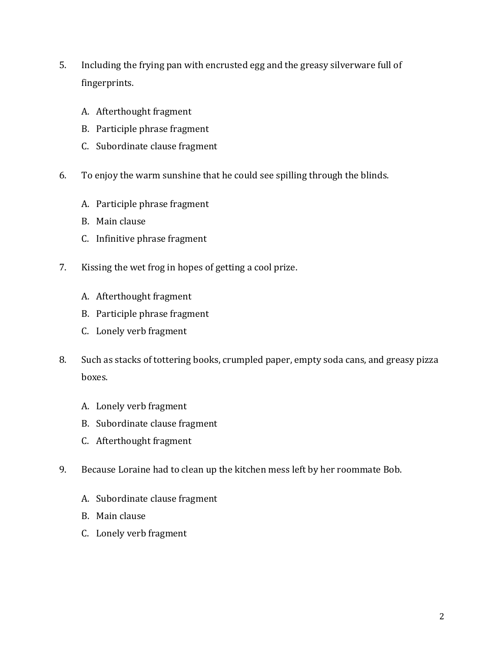- 5. Including the frying pan with encrusted egg and the greasy silverware full of fingerprints.
	- A. Afterthought fragment
	- B. Participle phrase fragment
	- C. Subordinate clause fragment
- 6. To enjoy the warm sunshine that he could see spilling through the blinds.
	- A. Participle phrase fragment
	- B. Main clause
	- C. Infinitive phrase fragment
- 7. Kissing the wet frog in hopes of getting a cool prize.
	- A. Afterthought fragment
	- B. Participle phrase fragment
	- C. Lonely verb fragment
- 8. Such as stacks of tottering books, crumpled paper, empty soda cans, and greasy pizza boxes.
	- A. Lonely verb fragment
	- B. Subordinate clause fragment
	- C. Afterthought fragment
- 9. Because Loraine had to clean up the kitchen mess left by her roommate Bob.
	- A. Subordinate clause fragment
	- B. Main clause
	- C. Lonely verb fragment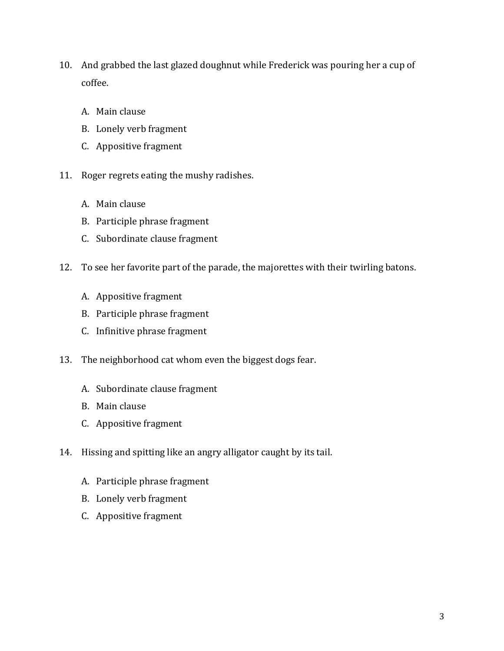- 10. And grabbed the last glazed doughnut while Frederick was pouring her a cup of coffee.
	- A. Main clause
	- B. Lonely verb fragment
	- C. Appositive fragment
- 11. Roger regrets eating the mushy radishes.
	- A. Main clause
	- B. Participle phrase fragment
	- C. Subordinate clause fragment
- 12. To see her favorite part of the parade, the majorettes with their twirling batons.
	- A. Appositive fragment
	- B. Participle phrase fragment
	- C. Infinitive phrase fragment
- 13. The neighborhood cat whom even the biggest dogs fear.
	- A. Subordinate clause fragment
	- B. Main clause
	- C. Appositive fragment
- 14. Hissing and spitting like an angry alligator caught by its tail.
	- A. Participle phrase fragment
	- B. Lonely verb fragment
	- C. Appositive fragment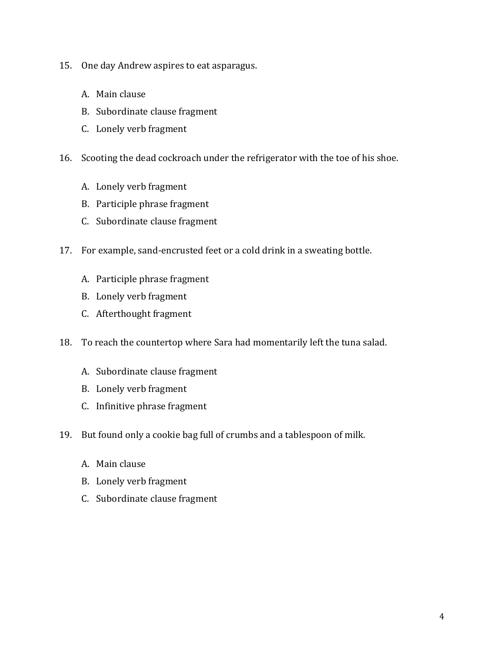- 15. One day Andrew aspires to eat asparagus.
	- A. Main clause
	- B. Subordinate clause fragment
	- C. Lonely verb fragment
- 16. Scooting the dead cockroach under the refrigerator with the toe of his shoe.
	- A. Lonely verb fragment
	- B. Participle phrase fragment
	- C. Subordinate clause fragment
- 17. For example, sand-encrusted feet or a cold drink in a sweating bottle.
	- A. Participle phrase fragment
	- B. Lonely verb fragment
	- C. Afterthought fragment
- 18. To reach the countertop where Sara had momentarily left the tuna salad.
	- A. Subordinate clause fragment
	- B. Lonely verb fragment
	- C. Infinitive phrase fragment
- 19. But found only a cookie bag full of crumbs and a tablespoon of milk.
	- A. Main clause
	- B. Lonely verb fragment
	- C. Subordinate clause fragment